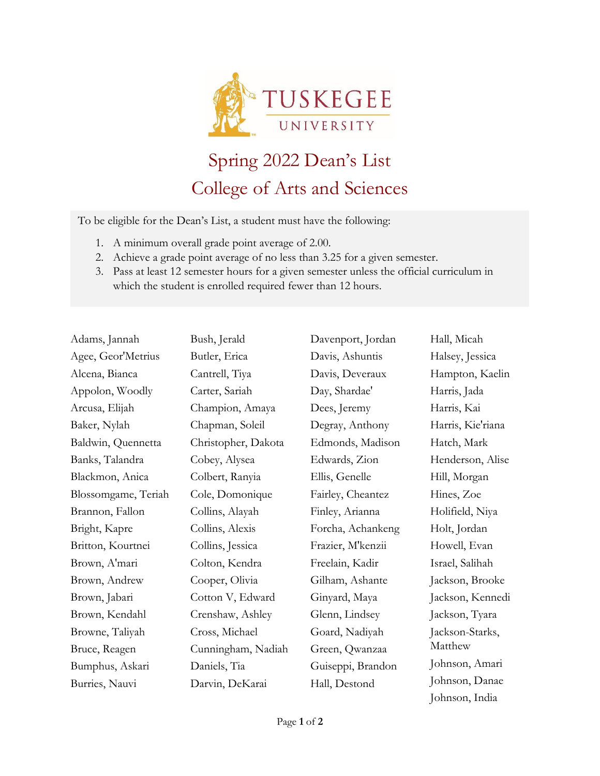

## Spring 2022 Dean's List College of Arts and Sciences

To be eligible for the Dean's List, a student must have the following:

- 1. A minimum overall grade point average of 2.00.
- 2. Achieve a grade point average of no less than 3.25 for a given semester.
- 3. Pass at least 12 semester hours for a given semester unless the official curriculum in which the student is enrolled required fewer than 12 hours.

| Adams, Jannah       | Bush, Jerald        | Davenport, Jordan | Hall, Micah       |
|---------------------|---------------------|-------------------|-------------------|
| Agee, Geor'Metrius  | Butler, Erica       | Davis, Ashuntis   | Halsey, Jessica   |
| Alcena, Bianca      | Cantrell, Tiya      | Davis, Deveraux   | Hampton, Kaelin   |
| Appolon, Woodly     | Carter, Sariah      | Day, Shardae'     | Harris, Jada      |
| Arcusa, Elijah      | Champion, Amaya     | Dees, Jeremy      | Harris, Kai       |
| Baker, Nylah        | Chapman, Soleil     | Degray, Anthony   | Harris, Kie'riana |
| Baldwin, Quennetta  | Christopher, Dakota | Edmonds, Madison  | Hatch, Mark       |
| Banks, Talandra     | Cobey, Alysea       | Edwards, Zion     | Henderson, Alise  |
| Blackmon, Anica     | Colbert, Ranyia     | Ellis, Genelle    | Hill, Morgan      |
| Blossomgame, Teriah | Cole, Domonique     | Fairley, Cheantez | Hines, Zoe        |
| Brannon, Fallon     | Collins, Alayah     | Finley, Arianna   | Holifield, Niya   |
| Bright, Kapre       | Collins, Alexis     | Forcha, Achankeng | Holt, Jordan      |
| Britton, Kourtnei   | Collins, Jessica    | Frazier, M'kenzii | Howell, Evan      |
| Brown, A'mari       | Colton, Kendra      | Freelain, Kadir   | Israel, Salihah   |
| Brown, Andrew       | Cooper, Olivia      | Gilham, Ashante   | Jackson, Brooke   |
| Brown, Jabari       | Cotton V, Edward    | Ginyard, Maya     | Jackson, Kennedi  |
| Brown, Kendahl      | Crenshaw, Ashley    | Glenn, Lindsey    | Jackson, Tyara    |
| Browne, Taliyah     | Cross, Michael      | Goard, Nadiyah    | Jackson-Starks,   |
| Bruce, Reagen       | Cunningham, Nadiah  | Green, Qwanzaa    | Matthew           |
| Bumphus, Askari     | Daniels, Tia        | Guiseppi, Brandon | Johnson, Amari    |
| Burries, Nauvi      | Darvin, DeKarai     | Hall, Destond     | Johnson, Danae    |

Johnson, India